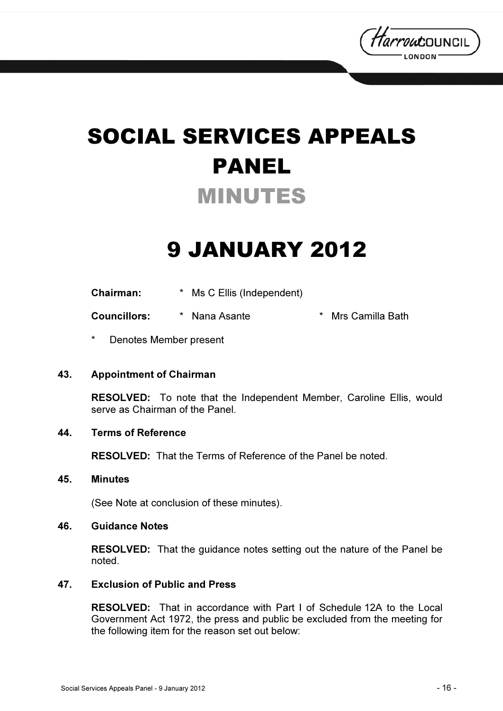

# SOCIAL SERVICES APPEALS PANEL MINUTES

## 9 JANUARY 2012

| <b>Chairman:</b> | * Ms C Ellis (Independent) |
|------------------|----------------------------|
|------------------|----------------------------|

Councillors: \* Nana Asante \* Mrs Camilla Bath

Denotes Member present

### 43. Appointment of Chairman

RESOLVED: To note that the Independent Member, Caroline Ellis, would serve as Chairman of the Panel.

### 44. Terms of Reference

RESOLVED: That the Terms of Reference of the Panel be noted.

#### 45. Minutes

(See Note at conclusion of these minutes).

#### 46. Guidance Notes

RESOLVED: That the guidance notes setting out the nature of the Panel be noted.

#### 47. Exclusion of Public and Press

RESOLVED: That in accordance with Part I of Schedule 12A to the Local Government Act 1972, the press and public be excluded from the meeting for the following item for the reason set out below: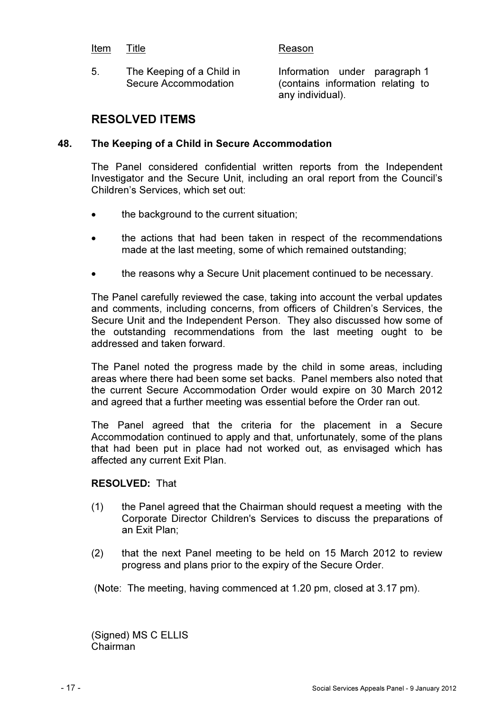#### Item Title **Reason**

5. The Keeping of a Child in Secure Accommodation

Information under paragraph 1 (contains information relating to any individual).

### RESOLVED ITEMS

#### 48. The Keeping of a Child in Secure Accommodation

The Panel considered confidential written reports from the Independent Investigator and the Secure Unit, including an oral report from the Council's Children's Services, which set out:

- the background to the current situation;
- the actions that had been taken in respect of the recommendations made at the last meeting, some of which remained outstanding;
- the reasons why a Secure Unit placement continued to be necessary.

The Panel carefully reviewed the case, taking into account the verbal updates and comments, including concerns, from officers of Children's Services, the Secure Unit and the Independent Person. They also discussed how some of the outstanding recommendations from the last meeting ought to be addressed and taken forward.

The Panel noted the progress made by the child in some areas, including areas where there had been some set backs. Panel members also noted that the current Secure Accommodation Order would expire on 30 March 2012 and agreed that a further meeting was essential before the Order ran out.

The Panel agreed that the criteria for the placement in a Secure Accommodation continued to apply and that, unfortunately, some of the plans that had been put in place had not worked out, as envisaged which has affected any current Exit Plan.

#### RESOLVED: That

- (1) the Panel agreed that the Chairman should request a meeting with the Corporate Director Children's Services to discuss the preparations of an Exit Plan;
- (2) that the next Panel meeting to be held on 15 March 2012 to review progress and plans prior to the expiry of the Secure Order.

(Note: The meeting, having commenced at 1.20 pm, closed at 3.17 pm).

(Signed) MS C ELLIS Chairman